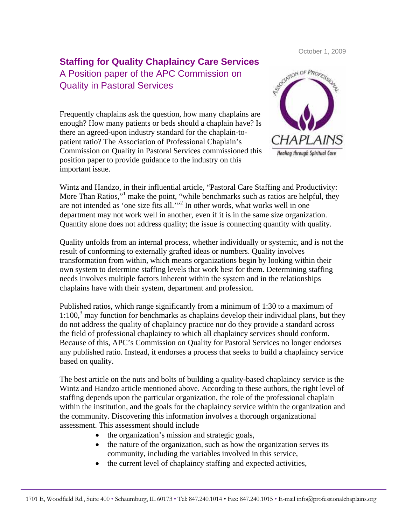October 1, 2009

## **Staffing for Quality Chaplaincy Care Services**  A Position paper of the APC Commission on Quality in Pastoral Services

Frequently chaplains ask the question, how many chaplains are enough? How many patients or beds should a chaplain have? Is there an agreed-upon industry standard for the chaplain-topatient ratio? The Association of Professional Chaplain's Commission on Quality in Pastoral Services commissioned this position paper to provide guidance to the industry on this important issue.



Wintz and Handzo, in their influential article, "Pastoral Care Staffing and Productivity: More Than Ratios,"<sup>1</sup> make the point, "while benchmarks such as ratios are helpful, they are not intended as 'one size fits all.'"<sup>2</sup> In other words, what works well in one department may not work well in another, even if it is in the same size organization. Quantity alone does not address quality; the issue is connecting quantity with quality.

Quality unfolds from an internal process, whether individually or systemic, and is not the result of conforming to externally grafted ideas or numbers. Quality involves transformation from within, which means organizations begin by looking within their own system to determine staffing levels that work best for them. Determining staffing needs involves multiple factors inherent within the system and in the relationships chaplains have with their system, department and profession.

Published ratios, which range significantly from a minimum of 1:30 to a maximum of  $1:100$ ,<sup>3</sup> may function for benchmarks as chaplains develop their individual plans, but they do not address the quality of chaplaincy practice nor do they provide a standard across the field of professional chaplaincy to which all chaplaincy services should conform. Because of this, APC's Commission on Quality for Pastoral Services no longer endorses any published ratio. Instead, it endorses a process that seeks to build a chaplaincy service based on quality.

The best article on the nuts and bolts of building a quality-based chaplaincy service is the Wintz and Handzo article mentioned above. According to these authors, the right level of staffing depends upon the particular organization, the role of the professional chaplain within the institution, and the goals for the chaplaincy service within the organization and the community. Discovering this information involves a thorough organizational assessment. This assessment should include

- the organization's mission and strategic goals,
- the nature of the organization, such as how the organization serves its community, including the variables involved in this service,
- the current level of chaplaincy staffing and expected activities,